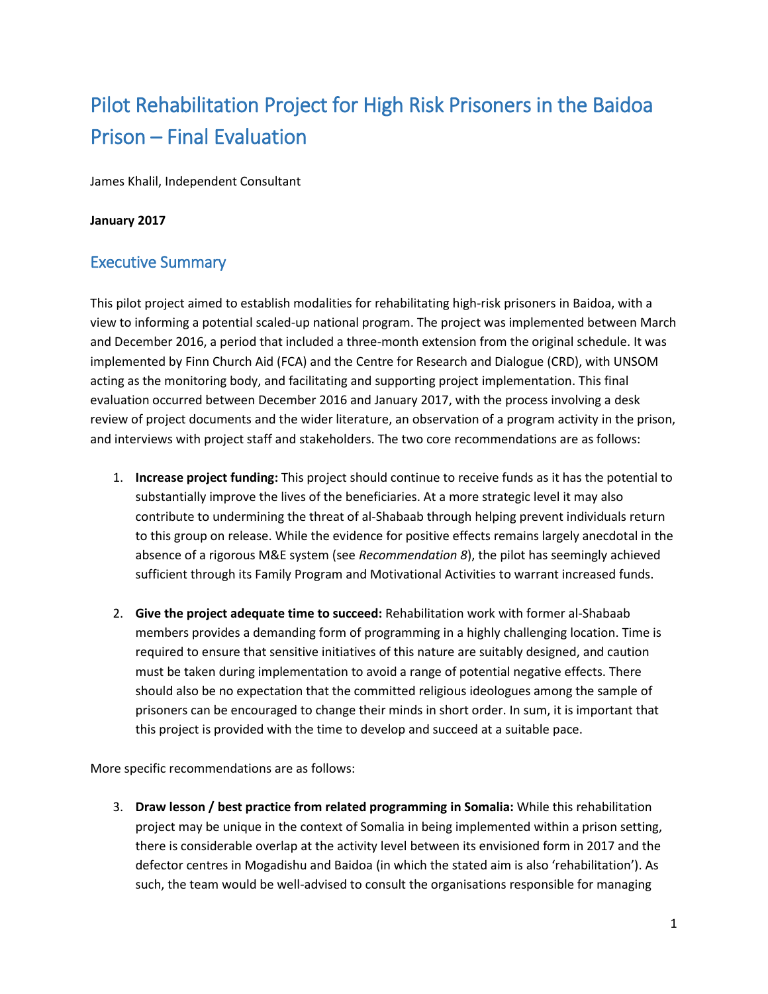# Pilot Rehabilitation Project for High Risk Prisoners in the Baidoa Prison – Final Evaluation

James Khalil, Independent Consultant

#### **January 2017**

### Executive Summary

This pilot project aimed to establish modalities for rehabilitating high-risk prisoners in Baidoa, with a view to informing a potential scaled-up national program. The project was implemented between March and December 2016, a period that included a three-month extension from the original schedule. It was implemented by Finn Church Aid (FCA) and the Centre for Research and Dialogue (CRD), with UNSOM acting as the monitoring body, and facilitating and supporting project implementation. This final evaluation occurred between December 2016 and January 2017, with the process involving a desk review of project documents and the wider literature, an observation of a program activity in the prison, and interviews with project staff and stakeholders. The two core recommendations are as follows:

- 1. **Increase project funding:** This project should continue to receive funds as it has the potential to substantially improve the lives of the beneficiaries. At a more strategic level it may also contribute to undermining the threat of al-Shabaab through helping prevent individuals return to this group on release. While the evidence for positive effects remains largely anecdotal in the absence of a rigorous M&E system (see *Recommendation 8*), the pilot has seemingly achieved sufficient through its Family Program and Motivational Activities to warrant increased funds.
- 2. **Give the project adequate time to succeed:** Rehabilitation work with former al-Shabaab members provides a demanding form of programming in a highly challenging location. Time is required to ensure that sensitive initiatives of this nature are suitably designed, and caution must be taken during implementation to avoid a range of potential negative effects. There should also be no expectation that the committed religious ideologues among the sample of prisoners can be encouraged to change their minds in short order. In sum, it is important that this project is provided with the time to develop and succeed at a suitable pace.

More specific recommendations are as follows:

3. **Draw lesson / best practice from related programming in Somalia:** While this rehabilitation project may be unique in the context of Somalia in being implemented within a prison setting, there is considerable overlap at the activity level between its envisioned form in 2017 and the defector centres in Mogadishu and Baidoa (in which the stated aim is also 'rehabilitation'). As such, the team would be well-advised to consult the organisations responsible for managing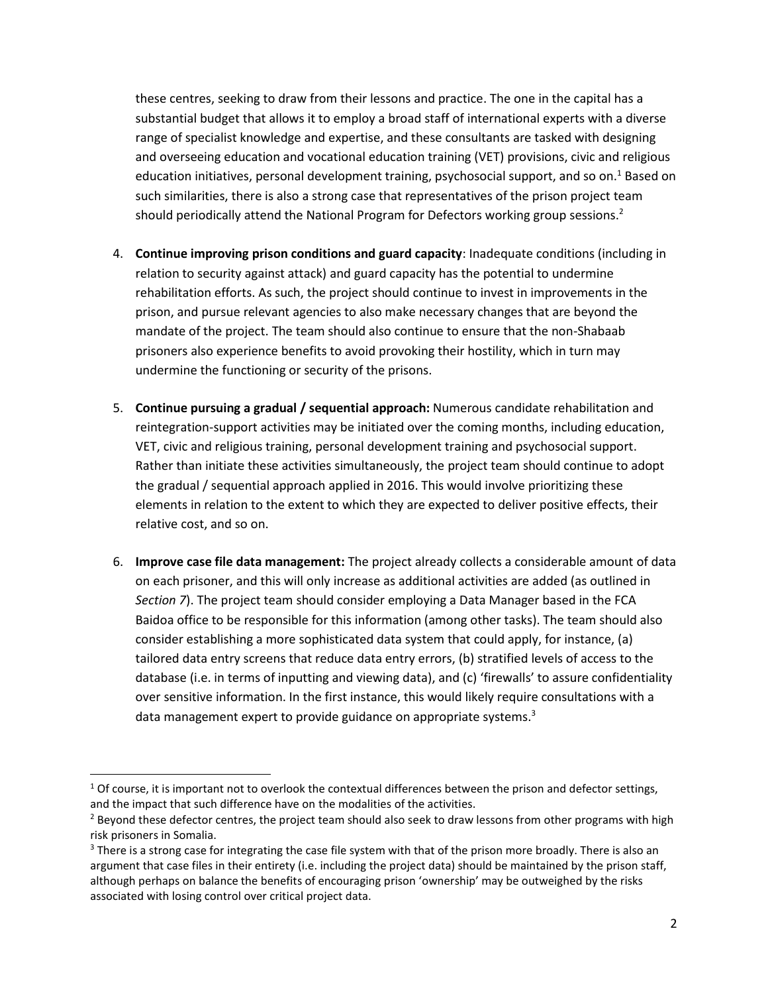these centres, seeking to draw from their lessons and practice. The one in the capital has a substantial budget that allows it to employ a broad staff of international experts with a diverse range of specialist knowledge and expertise, and these consultants are tasked with designing and overseeing education and vocational education training (VET) provisions, civic and religious education initiatives, personal development training, psychosocial support, and so on.<sup>1</sup> Based on such similarities, there is also a strong case that representatives of the prison project team should periodically attend the National Program for Defectors working group sessions.<sup>2</sup>

- 4. **Continue improving prison conditions and guard capacity**: Inadequate conditions (including in relation to security against attack) and guard capacity has the potential to undermine rehabilitation efforts. As such, the project should continue to invest in improvements in the prison, and pursue relevant agencies to also make necessary changes that are beyond the mandate of the project. The team should also continue to ensure that the non-Shabaab prisoners also experience benefits to avoid provoking their hostility, which in turn may undermine the functioning or security of the prisons.
- 5. **Continue pursuing a gradual / sequential approach:** Numerous candidate rehabilitation and reintegration-support activities may be initiated over the coming months, including education, VET, civic and religious training, personal development training and psychosocial support. Rather than initiate these activities simultaneously, the project team should continue to adopt the gradual / sequential approach applied in 2016. This would involve prioritizing these elements in relation to the extent to which they are expected to deliver positive effects, their relative cost, and so on.
- 6. **Improve case file data management:** The project already collects a considerable amount of data on each prisoner, and this will only increase as additional activities are added (as outlined in *Section 7*). The project team should consider employing a Data Manager based in the FCA Baidoa office to be responsible for this information (among other tasks). The team should also consider establishing a more sophisticated data system that could apply, for instance, (a) tailored data entry screens that reduce data entry errors, (b) stratified levels of access to the database (i.e. in terms of inputting and viewing data), and (c) 'firewalls' to assure confidentiality over sensitive information. In the first instance, this would likely require consultations with a data management expert to provide guidance on appropriate systems.<sup>3</sup>

 $1$  Of course, it is important not to overlook the contextual differences between the prison and defector settings, and the impact that such difference have on the modalities of the activities.

<sup>&</sup>lt;sup>2</sup> Beyond these defector centres, the project team should also seek to draw lessons from other programs with high risk prisoners in Somalia.

<sup>&</sup>lt;sup>3</sup> There is a strong case for integrating the case file system with that of the prison more broadly. There is also an argument that case files in their entirety (i.e. including the project data) should be maintained by the prison staff, although perhaps on balance the benefits of encouraging prison 'ownership' may be outweighed by the risks associated with losing control over critical project data.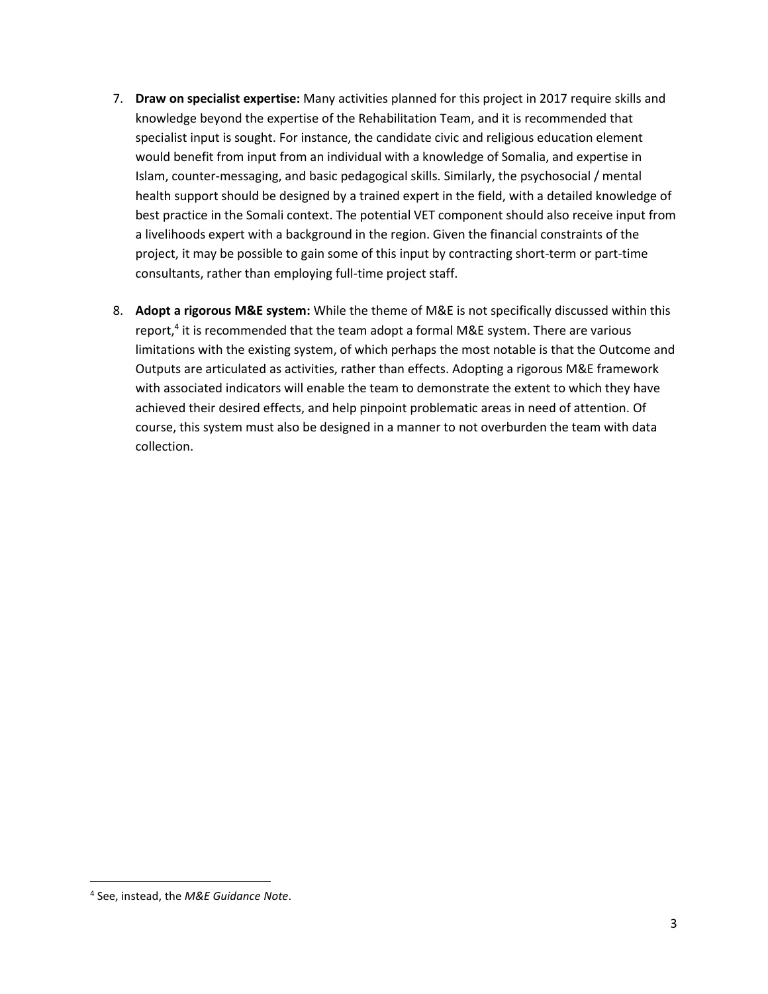- 7. **Draw on specialist expertise:** Many activities planned for this project in 2017 require skills and knowledge beyond the expertise of the Rehabilitation Team, and it is recommended that specialist input is sought. For instance, the candidate civic and religious education element would benefit from input from an individual with a knowledge of Somalia, and expertise in Islam, counter-messaging, and basic pedagogical skills. Similarly, the psychosocial / mental health support should be designed by a trained expert in the field, with a detailed knowledge of best practice in the Somali context. The potential VET component should also receive input from a livelihoods expert with a background in the region. Given the financial constraints of the project, it may be possible to gain some of this input by contracting short-term or part-time consultants, rather than employing full-time project staff.
- 8. **Adopt a rigorous M&E system:** While the theme of M&E is not specifically discussed within this report,<sup>4</sup> it is recommended that the team adopt a formal M&E system. There are various limitations with the existing system, of which perhaps the most notable is that the Outcome and Outputs are articulated as activities, rather than effects. Adopting a rigorous M&E framework with associated indicators will enable the team to demonstrate the extent to which they have achieved their desired effects, and help pinpoint problematic areas in need of attention. Of course, this system must also be designed in a manner to not overburden the team with data collection.

<sup>4</sup> See, instead, the *M&E Guidance Note*.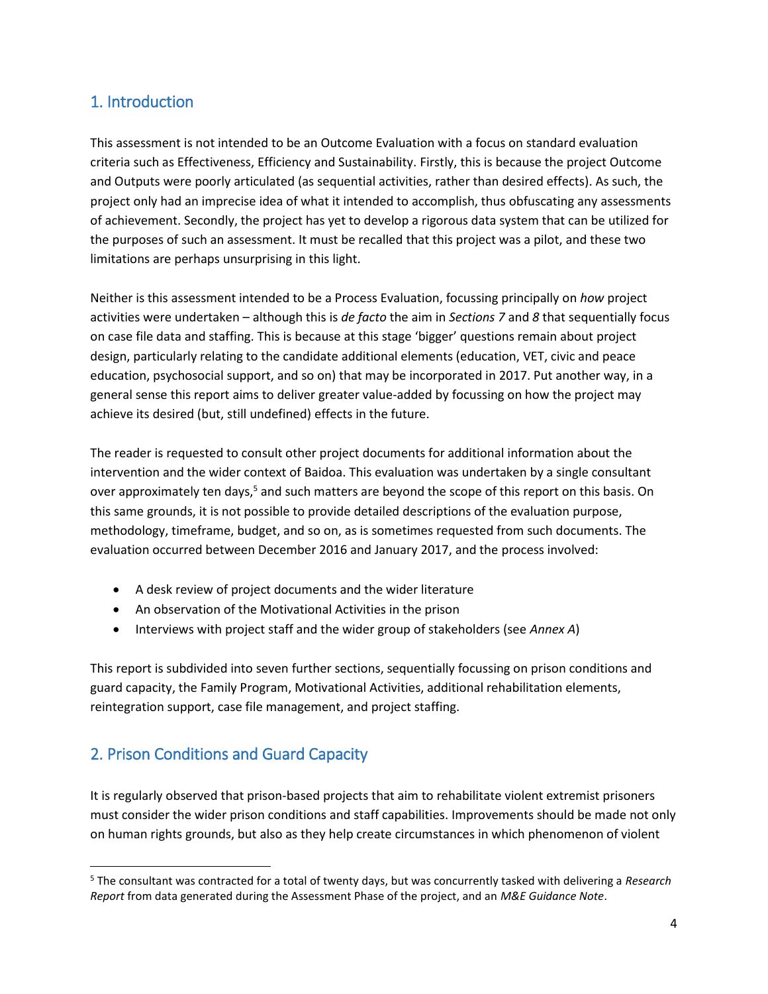### 1. Introduction

This assessment is not intended to be an Outcome Evaluation with a focus on standard evaluation criteria such as Effectiveness, Efficiency and Sustainability. Firstly, this is because the project Outcome and Outputs were poorly articulated (as sequential activities, rather than desired effects). As such, the project only had an imprecise idea of what it intended to accomplish, thus obfuscating any assessments of achievement. Secondly, the project has yet to develop a rigorous data system that can be utilized for the purposes of such an assessment. It must be recalled that this project was a pilot, and these two limitations are perhaps unsurprising in this light.

Neither is this assessment intended to be a Process Evaluation, focussing principally on *how* project activities were undertaken – although this is *de facto* the aim in *Sections 7* and *8* that sequentially focus on case file data and staffing. This is because at this stage 'bigger' questions remain about project design, particularly relating to the candidate additional elements (education, VET, civic and peace education, psychosocial support, and so on) that may be incorporated in 2017. Put another way, in a general sense this report aims to deliver greater value-added by focussing on how the project may achieve its desired (but, still undefined) effects in the future.

The reader is requested to consult other project documents for additional information about the intervention and the wider context of Baidoa. This evaluation was undertaken by a single consultant over approximately ten days,<sup>5</sup> and such matters are beyond the scope of this report on this basis. On this same grounds, it is not possible to provide detailed descriptions of the evaluation purpose, methodology, timeframe, budget, and so on, as is sometimes requested from such documents. The evaluation occurred between December 2016 and January 2017, and the process involved:

- A desk review of project documents and the wider literature
- An observation of the Motivational Activities in the prison
- Interviews with project staff and the wider group of stakeholders (see *Annex A*)

This report is subdivided into seven further sections, sequentially focussing on prison conditions and guard capacity, the Family Program, Motivational Activities, additional rehabilitation elements, reintegration support, case file management, and project staffing.

### 2. Prison Conditions and Guard Capacity

l

It is regularly observed that prison-based projects that aim to rehabilitate violent extremist prisoners must consider the wider prison conditions and staff capabilities. Improvements should be made not only on human rights grounds, but also as they help create circumstances in which phenomenon of violent

<sup>5</sup> The consultant was contracted for a total of twenty days, but was concurrently tasked with delivering a *Research Report* from data generated during the Assessment Phase of the project, and an *M&E Guidance Note*.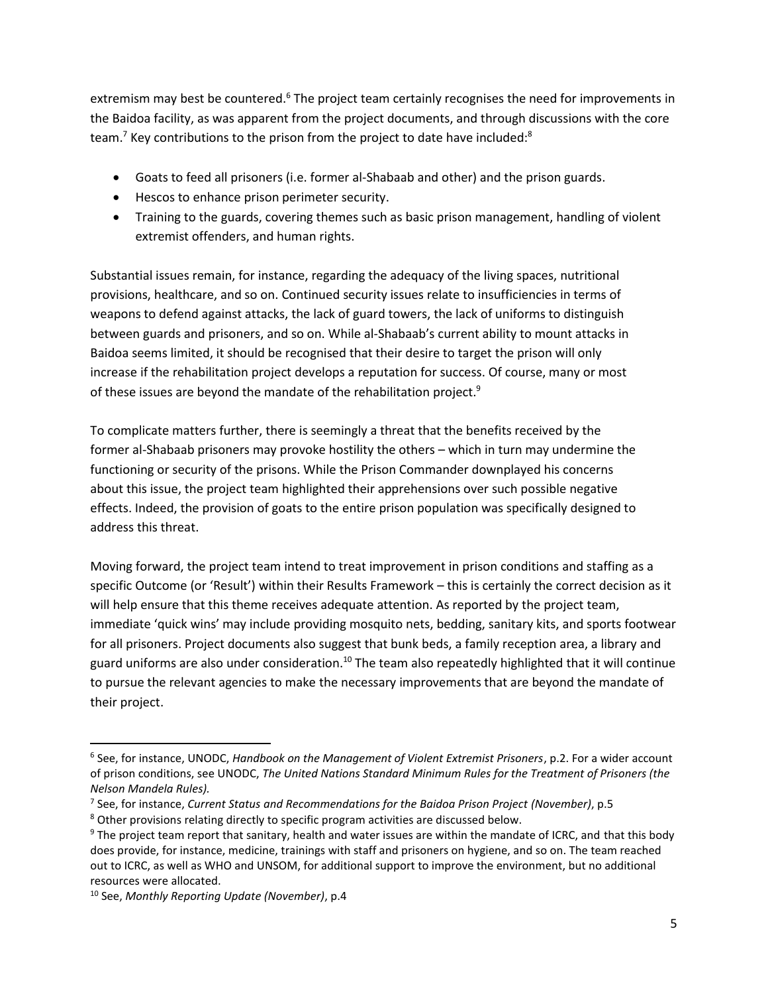extremism may best be countered.<sup>6</sup> The project team certainly recognises the need for improvements in the Baidoa facility, as was apparent from the project documents, and through discussions with the core team.<sup>7</sup> Key contributions to the prison from the project to date have included:<sup>8</sup>

- Goats to feed all prisoners (i.e. former al-Shabaab and other) and the prison guards.
- **•** Hescos to enhance prison perimeter security.
- Training to the guards, covering themes such as basic prison management, handling of violent extremist offenders, and human rights.

Substantial issues remain, for instance, regarding the adequacy of the living spaces, nutritional provisions, healthcare, and so on. Continued security issues relate to insufficiencies in terms of weapons to defend against attacks, the lack of guard towers, the lack of uniforms to distinguish between guards and prisoners, and so on. While al-Shabaab's current ability to mount attacks in Baidoa seems limited, it should be recognised that their desire to target the prison will only increase if the rehabilitation project develops a reputation for success. Of course, many or most of these issues are beyond the mandate of the rehabilitation project.<sup>9</sup>

To complicate matters further, there is seemingly a threat that the benefits received by the former al-Shabaab prisoners may provoke hostility the others – which in turn may undermine the functioning or security of the prisons. While the Prison Commander downplayed his concerns about this issue, the project team highlighted their apprehensions over such possible negative effects. Indeed, the provision of goats to the entire prison population was specifically designed to address this threat.

Moving forward, the project team intend to treat improvement in prison conditions and staffing as a specific Outcome (or 'Result') within their Results Framework – this is certainly the correct decision as it will help ensure that this theme receives adequate attention. As reported by the project team, immediate 'quick wins' may include providing mosquito nets, bedding, sanitary kits, and sports footwear for all prisoners. Project documents also suggest that bunk beds, a family reception area, a library and guard uniforms are also under consideration.<sup>10</sup> The team also repeatedly highlighted that it will continue to pursue the relevant agencies to make the necessary improvements that are beyond the mandate of their project.

<sup>6</sup> See, for instance, UNODC, *Handbook on the Management of Violent Extremist Prisoners*, p.2. For a wider account of prison conditions, see UNODC, *The United Nations Standard Minimum Rules for the Treatment of Prisoners (the Nelson Mandela Rules).* 

<sup>7</sup> See, for instance, *Current Status and Recommendations for the Baidoa Prison Project (November)*, p.5

<sup>&</sup>lt;sup>8</sup> Other provisions relating directly to specific program activities are discussed below.

<sup>&</sup>lt;sup>9</sup> The project team report that sanitary, health and water issues are within the mandate of ICRC, and that this body does provide, for instance, medicine, trainings with staff and prisoners on hygiene, and so on. The team reached out to ICRC, as well as WHO and UNSOM, for additional support to improve the environment, but no additional resources were allocated.

<sup>10</sup> See, *Monthly Reporting Update (November)*, p.4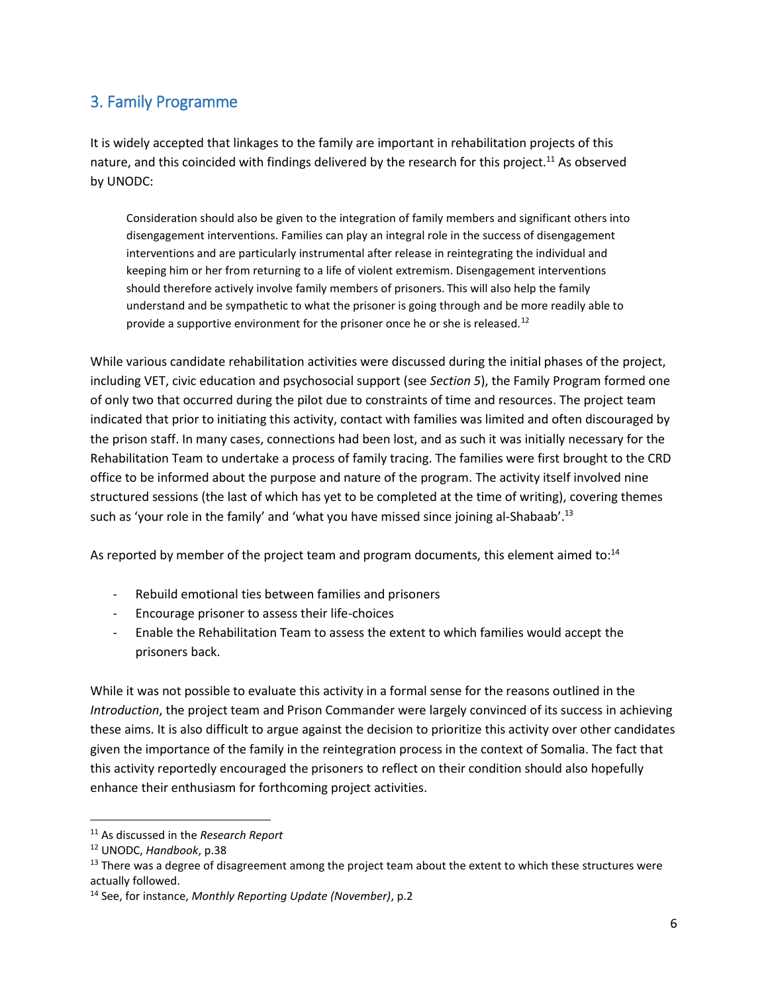### 3. Family Programme

It is widely accepted that linkages to the family are important in rehabilitation projects of this nature, and this coincided with findings delivered by the research for this project.<sup>11</sup> As observed by UNODC:

Consideration should also be given to the integration of family members and significant others into disengagement interventions. Families can play an integral role in the success of disengagement interventions and are particularly instrumental after release in reintegrating the individual and keeping him or her from returning to a life of violent extremism. Disengagement interventions should therefore actively involve family members of prisoners. This will also help the family understand and be sympathetic to what the prisoner is going through and be more readily able to provide a supportive environment for the prisoner once he or she is released.<sup>12</sup>

While various candidate rehabilitation activities were discussed during the initial phases of the project, including VET, civic education and psychosocial support (see *Section 5*), the Family Program formed one of only two that occurred during the pilot due to constraints of time and resources. The project team indicated that prior to initiating this activity, contact with families was limited and often discouraged by the prison staff. In many cases, connections had been lost, and as such it was initially necessary for the Rehabilitation Team to undertake a process of family tracing. The families were first brought to the CRD office to be informed about the purpose and nature of the program. The activity itself involved nine structured sessions (the last of which has yet to be completed at the time of writing), covering themes such as 'your role in the family' and 'what you have missed since joining al-Shabaab'.<sup>13</sup>

As reported by member of the project team and program documents, this element aimed to:<sup>14</sup>

- Rebuild emotional ties between families and prisoners
- Encourage prisoner to assess their life-choices
- Enable the Rehabilitation Team to assess the extent to which families would accept the prisoners back.

While it was not possible to evaluate this activity in a formal sense for the reasons outlined in the *Introduction*, the project team and Prison Commander were largely convinced of its success in achieving these aims. It is also difficult to argue against the decision to prioritize this activity over other candidates given the importance of the family in the reintegration process in the context of Somalia. The fact that this activity reportedly encouraged the prisoners to reflect on their condition should also hopefully enhance their enthusiasm for forthcoming project activities.

l

<sup>11</sup> As discussed in the *Research Report*

<sup>12</sup> UNODC, *Handbook*, p.38

 $13$  There was a degree of disagreement among the project team about the extent to which these structures were actually followed.

<sup>14</sup> See, for instance, *Monthly Reporting Update (November)*, p.2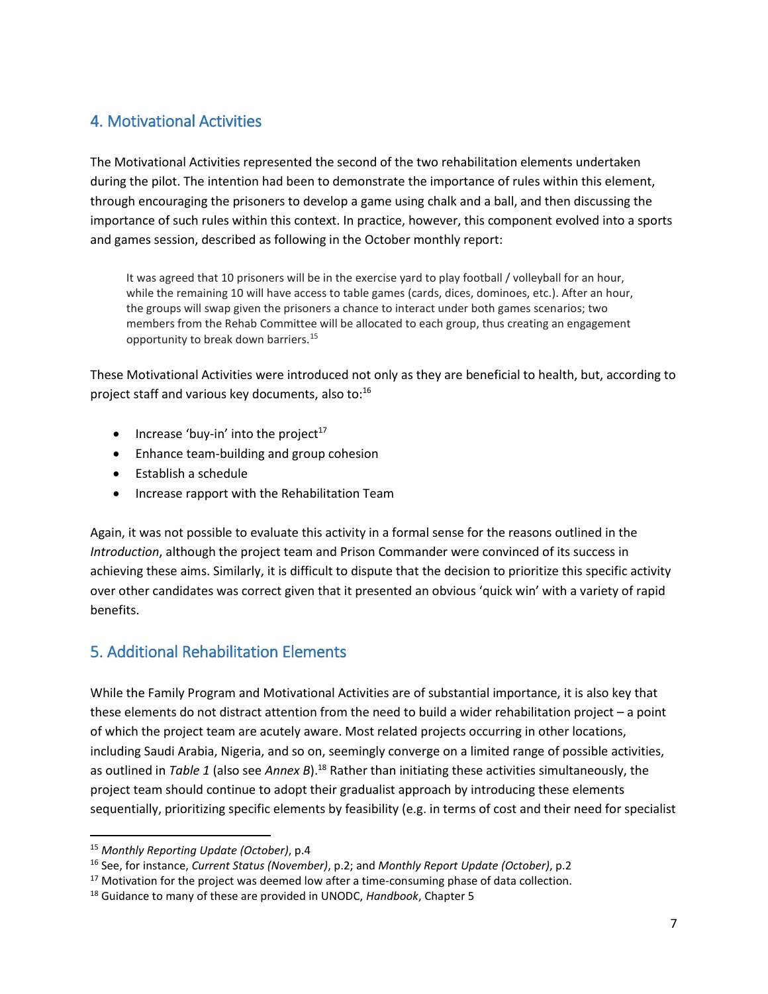### 4. Motivational Activities

The Motivational Activities represented the second of the two rehabilitation elements undertaken during the pilot. The intention had been to demonstrate the importance of rules within this element, through encouraging the prisoners to develop a game using chalk and a ball, and then discussing the importance of such rules within this context. In practice, however, this component evolved into a sports and games session, described as following in the October monthly report:

It was agreed that 10 prisoners will be in the exercise yard to play football / volleyball for an hour, while the remaining 10 will have access to table games (cards, dices, dominoes, etc.). After an hour, the groups will swap given the prisoners a chance to interact under both games scenarios; two members from the Rehab Committee will be allocated to each group, thus creating an engagement opportunity to break down barriers.<sup>15</sup>

These Motivational Activities were introduced not only as they are beneficial to health, but, according to project staff and various key documents, also to:<sup>16</sup>

- $\bullet$  Increase 'buy-in' into the project<sup>17</sup>
- Enhance team-building and group cohesion
- Establish a schedule
- Increase rapport with the Rehabilitation Team

Again, it was not possible to evaluate this activity in a formal sense for the reasons outlined in the *Introduction*, although the project team and Prison Commander were convinced of its success in achieving these aims. Similarly, it is difficult to dispute that the decision to prioritize this specific activity over other candidates was correct given that it presented an obvious 'quick win' with a variety of rapid benefits.

### 5. Additional Rehabilitation Elements

While the Family Program and Motivational Activities are of substantial importance, it is also key that these elements do not distract attention from the need to build a wider rehabilitation project – a point of which the project team are acutely aware. Most related projects occurring in other locations, including Saudi Arabia, Nigeria, and so on, seemingly converge on a limited range of possible activities, as outlined in *Table 1* (also see *Annex B*).<sup>18</sup> Rather than initiating these activities simultaneously, the project team should continue to adopt their gradualist approach by introducing these elements sequentially, prioritizing specific elements by feasibility (e.g. in terms of cost and their need for specialist

 $\overline{a}$ 

<sup>15</sup> *Monthly Reporting Update (October)*, p.4

<sup>16</sup> See, for instance, *Current Status (November)*, p.2; and *Monthly Report Update (October)*, p.2

 $17$  Motivation for the project was deemed low after a time-consuming phase of data collection.

<sup>18</sup> Guidance to many of these are provided in UNODC, *Handbook*, Chapter 5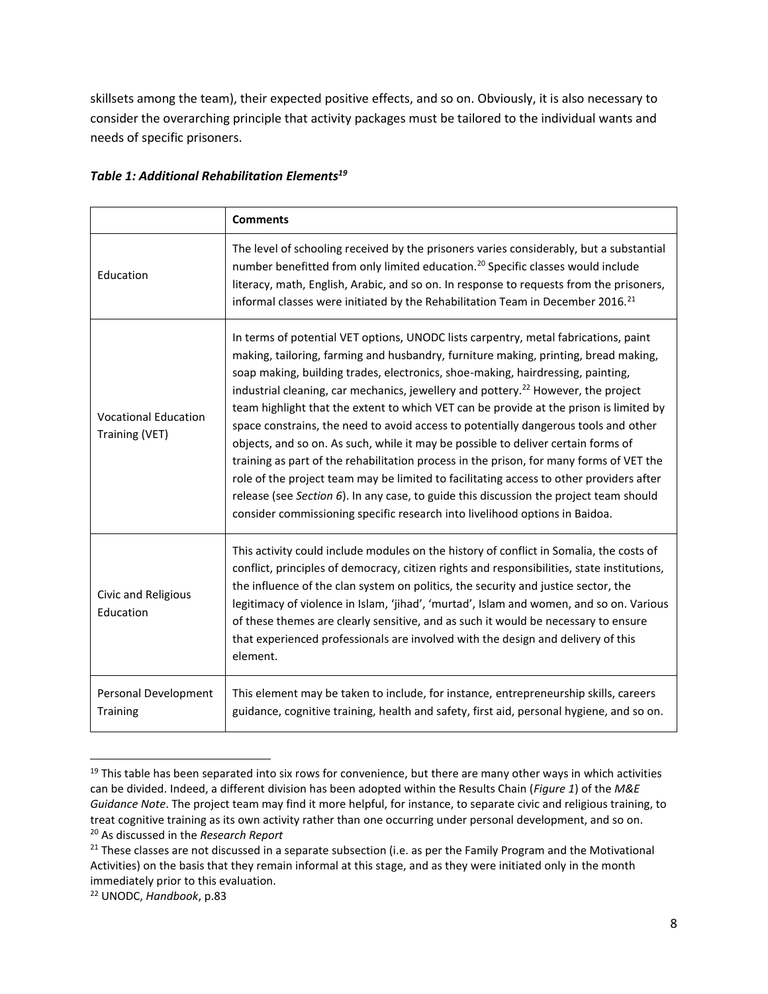skillsets among the team), their expected positive effects, and so on. Obviously, it is also necessary to consider the overarching principle that activity packages must be tailored to the individual wants and needs of specific prisoners.

|                                               | <b>Comments</b>                                                                                                                                                                                                                                                                                                                                                                                                                                                                                                                                                                                                                                                                                                                                                                                                                                                                                                                                                                                     |
|-----------------------------------------------|-----------------------------------------------------------------------------------------------------------------------------------------------------------------------------------------------------------------------------------------------------------------------------------------------------------------------------------------------------------------------------------------------------------------------------------------------------------------------------------------------------------------------------------------------------------------------------------------------------------------------------------------------------------------------------------------------------------------------------------------------------------------------------------------------------------------------------------------------------------------------------------------------------------------------------------------------------------------------------------------------------|
| Education                                     | The level of schooling received by the prisoners varies considerably, but a substantial<br>number benefitted from only limited education. <sup>20</sup> Specific classes would include<br>literacy, math, English, Arabic, and so on. In response to requests from the prisoners,<br>informal classes were initiated by the Rehabilitation Team in December 2016. <sup>21</sup>                                                                                                                                                                                                                                                                                                                                                                                                                                                                                                                                                                                                                     |
| <b>Vocational Education</b><br>Training (VET) | In terms of potential VET options, UNODC lists carpentry, metal fabrications, paint<br>making, tailoring, farming and husbandry, furniture making, printing, bread making,<br>soap making, building trades, electronics, shoe-making, hairdressing, painting,<br>industrial cleaning, car mechanics, jewellery and pottery. <sup>22</sup> However, the project<br>team highlight that the extent to which VET can be provide at the prison is limited by<br>space constrains, the need to avoid access to potentially dangerous tools and other<br>objects, and so on. As such, while it may be possible to deliver certain forms of<br>training as part of the rehabilitation process in the prison, for many forms of VET the<br>role of the project team may be limited to facilitating access to other providers after<br>release (see Section 6). In any case, to guide this discussion the project team should<br>consider commissioning specific research into livelihood options in Baidoa. |
| Civic and Religious<br>Education              | This activity could include modules on the history of conflict in Somalia, the costs of<br>conflict, principles of democracy, citizen rights and responsibilities, state institutions,<br>the influence of the clan system on politics, the security and justice sector, the<br>legitimacy of violence in Islam, 'jihad', 'murtad', Islam and women, and so on. Various<br>of these themes are clearly sensitive, and as such it would be necessary to ensure<br>that experienced professionals are involved with the design and delivery of this<br>element.                                                                                                                                                                                                                                                                                                                                                                                                                                       |
| Personal Development<br><b>Training</b>       | This element may be taken to include, for instance, entrepreneurship skills, careers<br>guidance, cognitive training, health and safety, first aid, personal hygiene, and so on.                                                                                                                                                                                                                                                                                                                                                                                                                                                                                                                                                                                                                                                                                                                                                                                                                    |

#### *Table 1: Additional Rehabilitation Elements<sup>19</sup>*

 $19$  This table has been separated into six rows for convenience, but there are many other ways in which activities can be divided. Indeed, a different division has been adopted within the Results Chain (*Figure 1*) of the *M&E Guidance Note*. The project team may find it more helpful, for instance, to separate civic and religious training, to treat cognitive training as its own activity rather than one occurring under personal development, and so on. <sup>20</sup> As discussed in the *Research Report*

 $21$  These classes are not discussed in a separate subsection (i.e. as per the Family Program and the Motivational Activities) on the basis that they remain informal at this stage, and as they were initiated only in the month immediately prior to this evaluation.

<sup>22</sup> UNODC, *Handbook*, p.83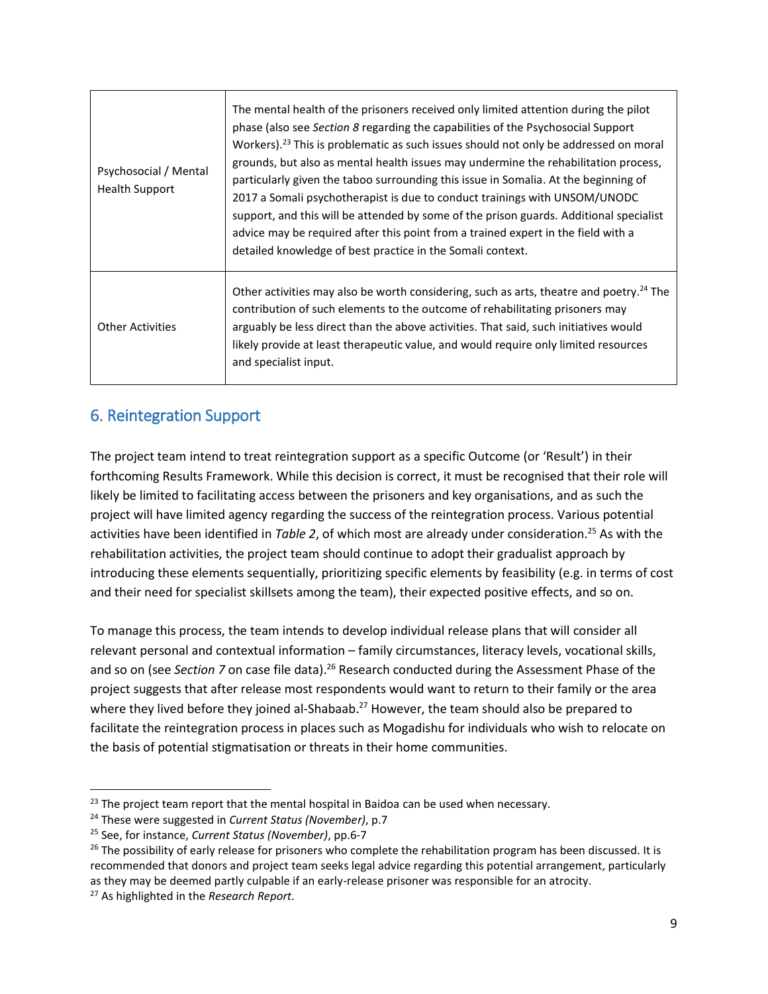| Psychosocial / Mental<br><b>Health Support</b> | The mental health of the prisoners received only limited attention during the pilot<br>phase (also see Section 8 regarding the capabilities of the Psychosocial Support<br>Workers). <sup>23</sup> This is problematic as such issues should not only be addressed on moral<br>grounds, but also as mental health issues may undermine the rehabilitation process,<br>particularly given the taboo surrounding this issue in Somalia. At the beginning of<br>2017 a Somali psychotherapist is due to conduct trainings with UNSOM/UNODC<br>support, and this will be attended by some of the prison guards. Additional specialist<br>advice may be required after this point from a trained expert in the field with a<br>detailed knowledge of best practice in the Somali context. |
|------------------------------------------------|--------------------------------------------------------------------------------------------------------------------------------------------------------------------------------------------------------------------------------------------------------------------------------------------------------------------------------------------------------------------------------------------------------------------------------------------------------------------------------------------------------------------------------------------------------------------------------------------------------------------------------------------------------------------------------------------------------------------------------------------------------------------------------------|
| <b>Other Activities</b>                        | Other activities may also be worth considering, such as arts, theatre and poetry. <sup>24</sup> The<br>contribution of such elements to the outcome of rehabilitating prisoners may<br>arguably be less direct than the above activities. That said, such initiatives would<br>likely provide at least therapeutic value, and would require only limited resources<br>and specialist input.                                                                                                                                                                                                                                                                                                                                                                                          |

### 6. Reintegration Support

The project team intend to treat reintegration support as a specific Outcome (or 'Result') in their forthcoming Results Framework. While this decision is correct, it must be recognised that their role will likely be limited to facilitating access between the prisoners and key organisations, and as such the project will have limited agency regarding the success of the reintegration process. Various potential activities have been identified in *Table 2*, of which most are already under consideration.<sup>25</sup> As with the rehabilitation activities, the project team should continue to adopt their gradualist approach by introducing these elements sequentially, prioritizing specific elements by feasibility (e.g. in terms of cost and their need for specialist skillsets among the team), their expected positive effects, and so on.

To manage this process, the team intends to develop individual release plans that will consider all relevant personal and contextual information – family circumstances, literacy levels, vocational skills, and so on (see *Section 7* on case file data).<sup>26</sup> Research conducted during the Assessment Phase of the project suggests that after release most respondents would want to return to their family or the area where they lived before they joined al-Shabaab.<sup>27</sup> However, the team should also be prepared to facilitate the reintegration process in places such as Mogadishu for individuals who wish to relocate on the basis of potential stigmatisation or threats in their home communities.

 $23$  The project team report that the mental hospital in Baidoa can be used when necessary.

<sup>24</sup> These were suggested in *Current Status (November)*, p.7

<sup>25</sup> See, for instance, *Current Status (November)*, pp.6-7

 $26$  The possibility of early release for prisoners who complete the rehabilitation program has been discussed. It is recommended that donors and project team seeks legal advice regarding this potential arrangement, particularly as they may be deemed partly culpable if an early-release prisoner was responsible for an atrocity.

<sup>27</sup> As highlighted in the *Research Report.*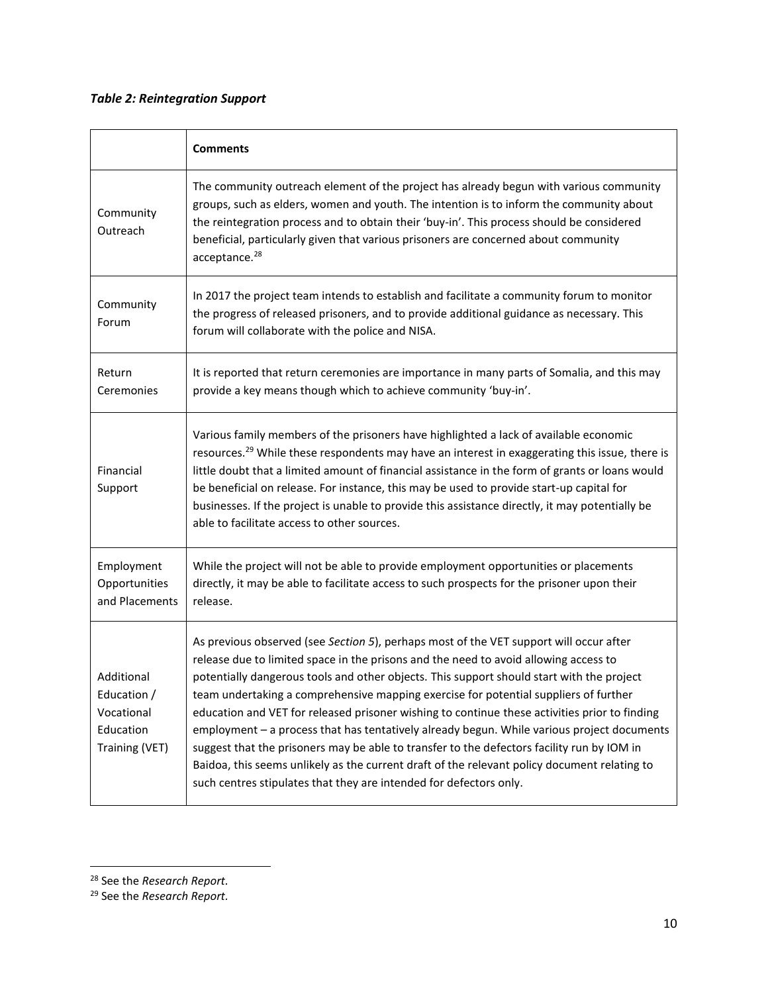### *Table 2: Reintegration Support*

|                                                                        | <b>Comments</b>                                                                                                                                                                                                                                                                                                                                                                                                                                                                                                                                                                                                                                                                                                                                                                                                                        |
|------------------------------------------------------------------------|----------------------------------------------------------------------------------------------------------------------------------------------------------------------------------------------------------------------------------------------------------------------------------------------------------------------------------------------------------------------------------------------------------------------------------------------------------------------------------------------------------------------------------------------------------------------------------------------------------------------------------------------------------------------------------------------------------------------------------------------------------------------------------------------------------------------------------------|
| Community<br>Outreach                                                  | The community outreach element of the project has already begun with various community<br>groups, such as elders, women and youth. The intention is to inform the community about<br>the reintegration process and to obtain their 'buy-in'. This process should be considered<br>beneficial, particularly given that various prisoners are concerned about community<br>acceptance. <sup>28</sup>                                                                                                                                                                                                                                                                                                                                                                                                                                     |
| Community<br>Forum                                                     | In 2017 the project team intends to establish and facilitate a community forum to monitor<br>the progress of released prisoners, and to provide additional guidance as necessary. This<br>forum will collaborate with the police and NISA.                                                                                                                                                                                                                                                                                                                                                                                                                                                                                                                                                                                             |
| Return<br>Ceremonies                                                   | It is reported that return ceremonies are importance in many parts of Somalia, and this may<br>provide a key means though which to achieve community 'buy-in'.                                                                                                                                                                                                                                                                                                                                                                                                                                                                                                                                                                                                                                                                         |
| Financial<br>Support                                                   | Various family members of the prisoners have highlighted a lack of available economic<br>resources. <sup>29</sup> While these respondents may have an interest in exaggerating this issue, there is<br>little doubt that a limited amount of financial assistance in the form of grants or loans would<br>be beneficial on release. For instance, this may be used to provide start-up capital for<br>businesses. If the project is unable to provide this assistance directly, it may potentially be<br>able to facilitate access to other sources.                                                                                                                                                                                                                                                                                   |
| Employment<br>Opportunities<br>and Placements                          | While the project will not be able to provide employment opportunities or placements<br>directly, it may be able to facilitate access to such prospects for the prisoner upon their<br>release.                                                                                                                                                                                                                                                                                                                                                                                                                                                                                                                                                                                                                                        |
| Additional<br>Education /<br>Vocational<br>Education<br>Training (VET) | As previous observed (see Section 5), perhaps most of the VET support will occur after<br>release due to limited space in the prisons and the need to avoid allowing access to<br>potentially dangerous tools and other objects. This support should start with the project<br>team undertaking a comprehensive mapping exercise for potential suppliers of further<br>education and VET for released prisoner wishing to continue these activities prior to finding<br>employment - a process that has tentatively already begun. While various project documents<br>suggest that the prisoners may be able to transfer to the defectors facility run by IOM in<br>Baidoa, this seems unlikely as the current draft of the relevant policy document relating to<br>such centres stipulates that they are intended for defectors only. |

l

<sup>28</sup> See the *Research Report.*

<sup>29</sup> See the *Research Report.*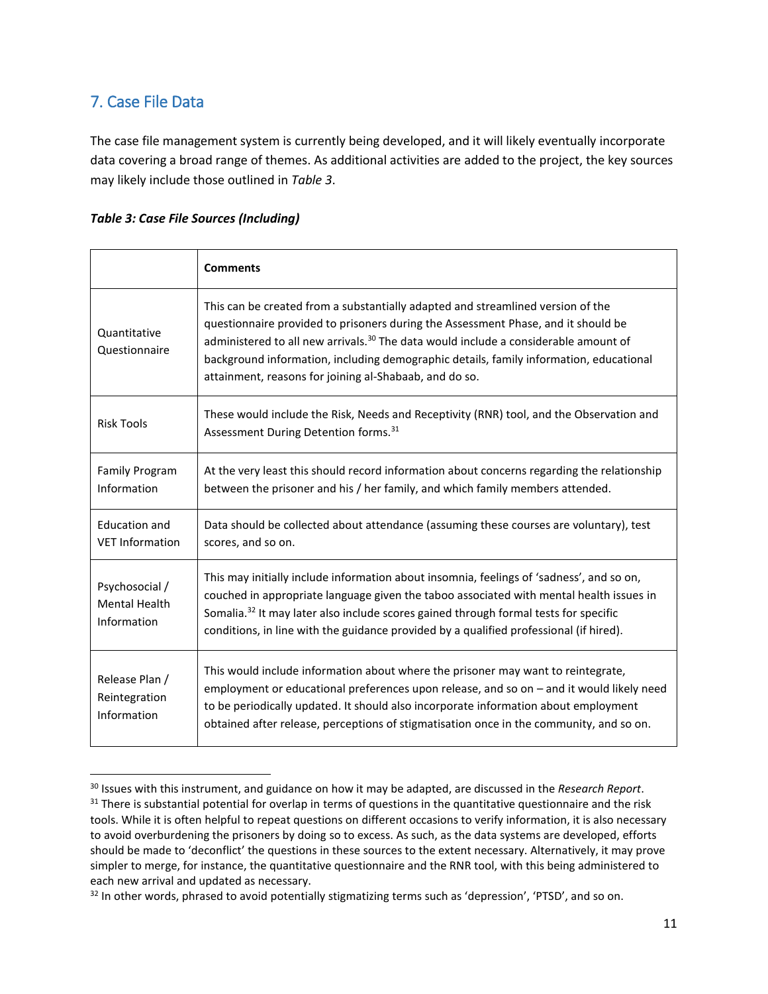### 7. Case File Data

 $\overline{\phantom{a}}$ 

The case file management system is currently being developed, and it will likely eventually incorporate data covering a broad range of themes. As additional activities are added to the project, the key sources may likely include those outlined in *Table 3*.

#### *Table 3: Case File Sources (Including)*

|                                                       | <b>Comments</b>                                                                                                                                                                                                                                                                                                                                                                                                             |
|-------------------------------------------------------|-----------------------------------------------------------------------------------------------------------------------------------------------------------------------------------------------------------------------------------------------------------------------------------------------------------------------------------------------------------------------------------------------------------------------------|
| Quantitative<br>Questionnaire                         | This can be created from a substantially adapted and streamlined version of the<br>questionnaire provided to prisoners during the Assessment Phase, and it should be<br>administered to all new arrivals. <sup>30</sup> The data would include a considerable amount of<br>background information, including demographic details, family information, educational<br>attainment, reasons for joining al-Shabaab, and do so. |
| <b>Risk Tools</b>                                     | These would include the Risk, Needs and Receptivity (RNR) tool, and the Observation and<br>Assessment During Detention forms. <sup>31</sup>                                                                                                                                                                                                                                                                                 |
| <b>Family Program</b><br>Information                  | At the very least this should record information about concerns regarding the relationship<br>between the prisoner and his / her family, and which family members attended.                                                                                                                                                                                                                                                 |
| <b>Education and</b><br><b>VET Information</b>        | Data should be collected about attendance (assuming these courses are voluntary), test<br>scores, and so on.                                                                                                                                                                                                                                                                                                                |
| Psychosocial /<br><b>Mental Health</b><br>Information | This may initially include information about insomnia, feelings of 'sadness', and so on,<br>couched in appropriate language given the taboo associated with mental health issues in<br>Somalia. <sup>32</sup> It may later also include scores gained through formal tests for specific<br>conditions, in line with the guidance provided by a qualified professional (if hired).                                           |
| Release Plan /<br>Reintegration<br>Information        | This would include information about where the prisoner may want to reintegrate,<br>employment or educational preferences upon release, and so on - and it would likely need<br>to be periodically updated. It should also incorporate information about employment<br>obtained after release, perceptions of stigmatisation once in the community, and so on.                                                              |

<sup>30</sup> Issues with this instrument, and guidance on how it may be adapted, are discussed in the *Research Report*. <sup>31</sup> There is substantial potential for overlap in terms of questions in the quantitative questionnaire and the risk tools. While it is often helpful to repeat questions on different occasions to verify information, it is also necessary to avoid overburdening the prisoners by doing so to excess. As such, as the data systems are developed, efforts should be made to 'deconflict' the questions in these sources to the extent necessary. Alternatively, it may prove simpler to merge, for instance, the quantitative questionnaire and the RNR tool, with this being administered to each new arrival and updated as necessary.

 $32$  In other words, phrased to avoid potentially stigmatizing terms such as 'depression', 'PTSD', and so on.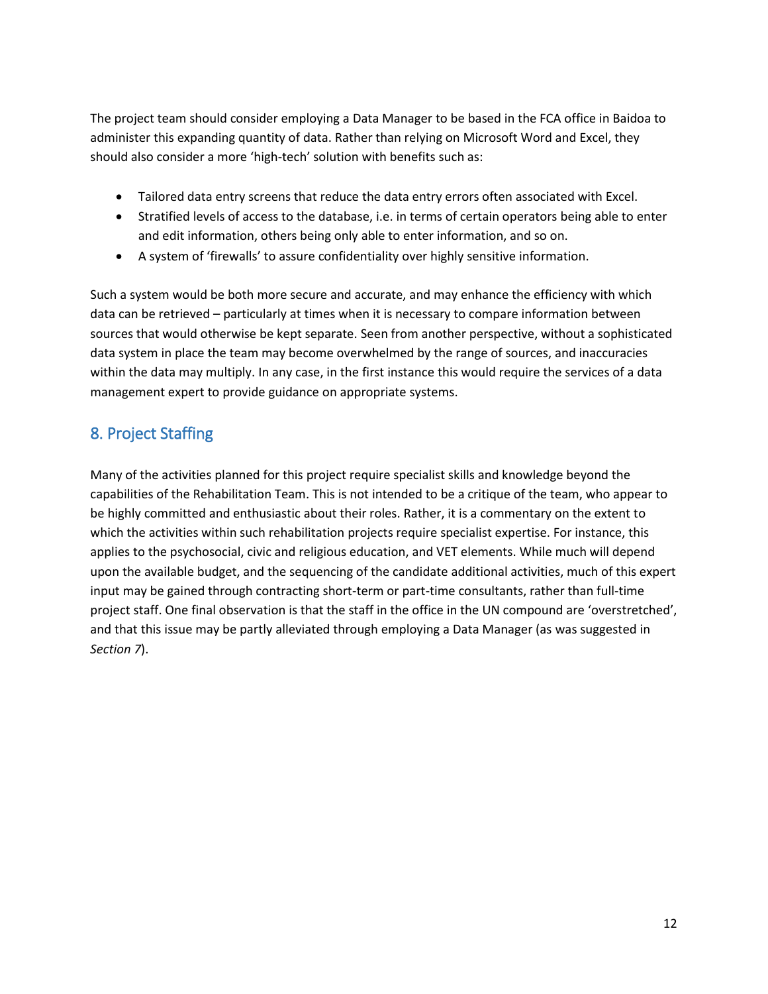The project team should consider employing a Data Manager to be based in the FCA office in Baidoa to administer this expanding quantity of data. Rather than relying on Microsoft Word and Excel, they should also consider a more 'high-tech' solution with benefits such as:

- Tailored data entry screens that reduce the data entry errors often associated with Excel.
- Stratified levels of access to the database, i.e. in terms of certain operators being able to enter and edit information, others being only able to enter information, and so on.
- A system of 'firewalls' to assure confidentiality over highly sensitive information.

Such a system would be both more secure and accurate, and may enhance the efficiency with which data can be retrieved – particularly at times when it is necessary to compare information between sources that would otherwise be kept separate. Seen from another perspective, without a sophisticated data system in place the team may become overwhelmed by the range of sources, and inaccuracies within the data may multiply. In any case, in the first instance this would require the services of a data management expert to provide guidance on appropriate systems.

### 8. Project Staffing

Many of the activities planned for this project require specialist skills and knowledge beyond the capabilities of the Rehabilitation Team. This is not intended to be a critique of the team, who appear to be highly committed and enthusiastic about their roles. Rather, it is a commentary on the extent to which the activities within such rehabilitation projects require specialist expertise. For instance, this applies to the psychosocial, civic and religious education, and VET elements. While much will depend upon the available budget, and the sequencing of the candidate additional activities, much of this expert input may be gained through contracting short-term or part-time consultants, rather than full-time project staff. One final observation is that the staff in the office in the UN compound are 'overstretched', and that this issue may be partly alleviated through employing a Data Manager (as was suggested in *Section 7*).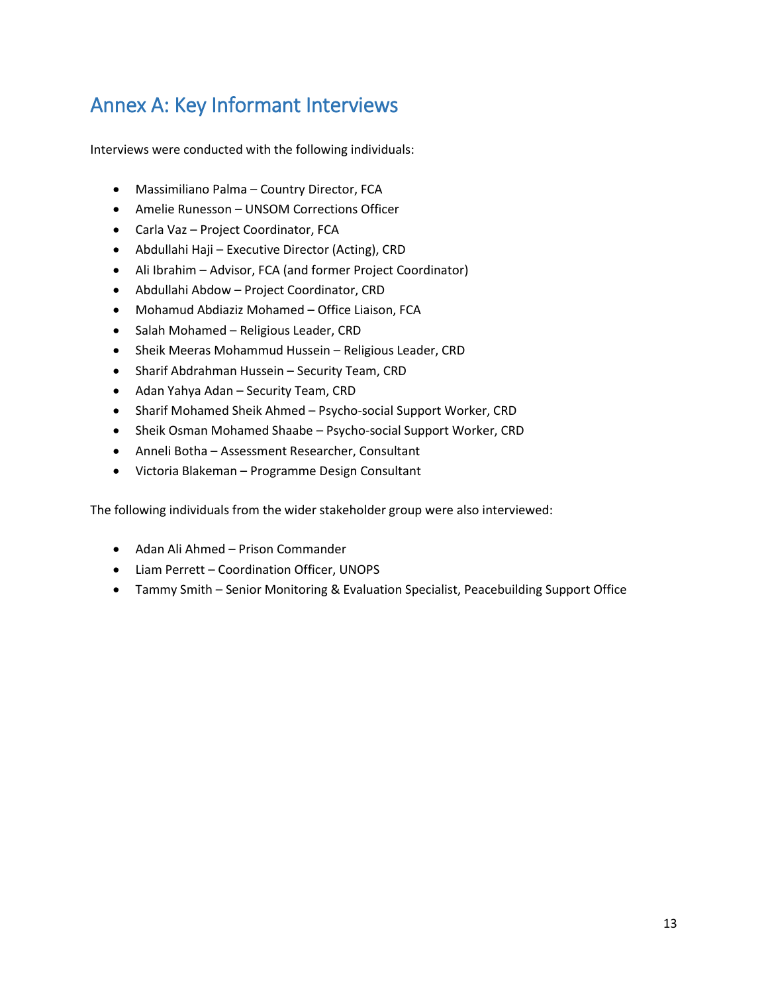## Annex A: Key Informant Interviews

Interviews were conducted with the following individuals:

- Massimiliano Palma Country Director, FCA
- Amelie Runesson UNSOM Corrections Officer
- Carla Vaz Project Coordinator, FCA
- Abdullahi Haji Executive Director (Acting), CRD
- Ali Ibrahim Advisor, FCA (and former Project Coordinator)
- Abdullahi Abdow Project Coordinator, CRD
- Mohamud Abdiaziz Mohamed Office Liaison, FCA
- Salah Mohamed Religious Leader, CRD
- Sheik Meeras Mohammud Hussein Religious Leader, CRD
- Sharif Abdrahman Hussein Security Team, CRD
- Adan Yahya Adan Security Team, CRD
- Sharif Mohamed Sheik Ahmed Psycho-social Support Worker, CRD
- Sheik Osman Mohamed Shaabe Psycho-social Support Worker, CRD
- Anneli Botha Assessment Researcher, Consultant
- Victoria Blakeman Programme Design Consultant

The following individuals from the wider stakeholder group were also interviewed:

- Adan Ali Ahmed Prison Commander
- Liam Perrett Coordination Officer, UNOPS
- Tammy Smith Senior Monitoring & Evaluation Specialist, Peacebuilding Support Office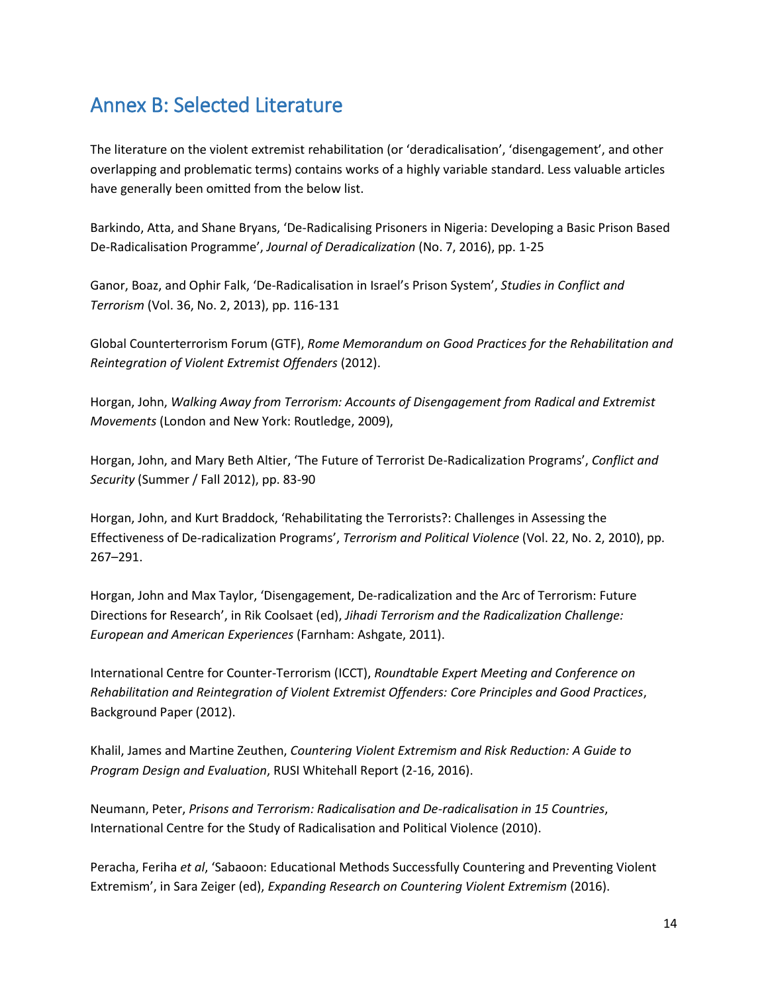## Annex B: Selected Literature

The literature on the violent extremist rehabilitation (or 'deradicalisation', 'disengagement', and other overlapping and problematic terms) contains works of a highly variable standard. Less valuable articles have generally been omitted from the below list.

Barkindo, Atta, and Shane Bryans, 'De-Radicalising Prisoners in Nigeria: Developing a Basic Prison Based De-Radicalisation Programme', *Journal of Deradicalization* (No. 7, 2016), pp. 1-25

Ganor, Boaz, and Ophir Falk, 'De-Radicalisation in Israel's Prison System', *Studies in Conflict and Terrorism* (Vol. 36, No. 2, 2013), pp. 116-131

Global Counterterrorism Forum (GTF), *Rome Memorandum on Good Practices for the Rehabilitation and Reintegration of Violent Extremist Offenders* (2012).

Horgan, John, *Walking Away from Terrorism: Accounts of Disengagement from Radical and Extremist Movements* (London and New York: Routledge, 2009),

Horgan, John, and Mary Beth Altier, 'The Future of Terrorist De-Radicalization Programs', *Conflict and Security* (Summer / Fall 2012), pp. 83-90

Horgan, John, and Kurt Braddock, 'Rehabilitating the Terrorists?: Challenges in Assessing the Effectiveness of De-radicalization Programs', *Terrorism and Political Violence* (Vol. 22, No. 2, 2010), pp. 267–291.

Horgan, John and Max Taylor, 'Disengagement, De-radicalization and the Arc of Terrorism: Future Directions for Research', in Rik Coolsaet (ed), *Jihadi Terrorism and the Radicalization Challenge: European and American Experiences* (Farnham: Ashgate, 2011).

International Centre for Counter-Terrorism (ICCT), *Roundtable Expert Meeting and Conference on Rehabilitation and Reintegration of Violent Extremist Offenders: Core Principles and Good Practices*, Background Paper (2012).

Khalil, James and Martine Zeuthen, *Countering Violent Extremism and Risk Reduction: A Guide to Program Design and Evaluation*, RUSI Whitehall Report (2-16, 2016).

Neumann, Peter, *Prisons and Terrorism: Radicalisation and De-radicalisation in 15 Countries*, International Centre for the Study of Radicalisation and Political Violence (2010).

Peracha, Feriha *et al*, 'Sabaoon: Educational Methods Successfully Countering and Preventing Violent Extremism', in Sara Zeiger (ed), *Expanding Research on Countering Violent Extremism* (2016).